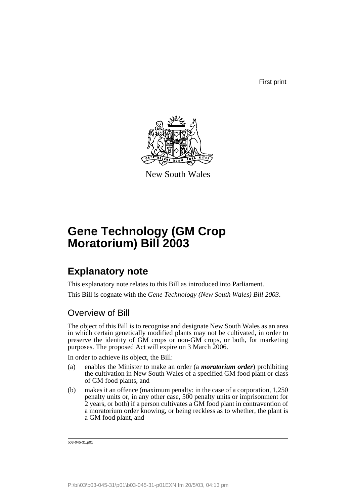First print



New South Wales

# **Gene Technology (GM Crop Moratorium) Bill 2003**

# **Explanatory note**

This explanatory note relates to this Bill as introduced into Parliament.

This Bill is cognate with the *Gene Technology (New South Wales) Bill 2003*.

## Overview of Bill

The object of this Bill is to recognise and designate New South Wales as an area in which certain genetically modified plants may not be cultivated, in order to preserve the identity of GM crops or non-GM crops, or both, for marketing purposes. The proposed Act will expire on 3 March 2006.

In order to achieve its object, the Bill:

- (a) enables the Minister to make an order (a *moratorium order*) prohibiting the cultivation in New South Wales of a specified GM food plant or class of GM food plants, and
- (b) makes it an offence (maximum penalty: in the case of a corporation, 1,250 penalty units or, in any other case, 500 penalty units or imprisonment for 2 years, or both) if a person cultivates a GM food plant in contravention of a moratorium order knowing, or being reckless as to whether, the plant is a GM food plant, and

b03-045-31.p01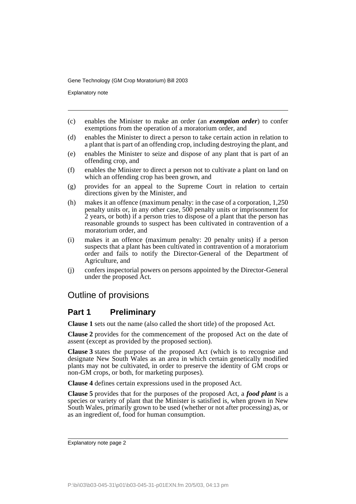Explanatory note

- (c) enables the Minister to make an order (an *exemption order*) to confer exemptions from the operation of a moratorium order, and
- (d) enables the Minister to direct a person to take certain action in relation to a plant that is part of an offending crop, including destroying the plant, and
- (e) enables the Minister to seize and dispose of any plant that is part of an offending crop, and
- (f) enables the Minister to direct a person not to cultivate a plant on land on which an offending crop has been grown, and
- (g) provides for an appeal to the Supreme Court in relation to certain directions given by the Minister, and
- (h) makes it an offence (maximum penalty: in the case of a corporation, 1,250 penalty units or, in any other case, 500 penalty units or imprisonment for 2 years, or both) if a person tries to dispose of a plant that the person has reasonable grounds to suspect has been cultivated in contravention of a moratorium order, and
- (i) makes it an offence (maximum penalty: 20 penalty units) if a person suspects that a plant has been cultivated in contravention of a moratorium order and fails to notify the Director-General of the Department of Agriculture, and
- (j) confers inspectorial powers on persons appointed by the Director-General under the proposed Act.

## Outline of provisions

## **Part 1 Preliminary**

**Clause 1** sets out the name (also called the short title) of the proposed Act.

**Clause 2** provides for the commencement of the proposed Act on the date of assent (except as provided by the proposed section).

**Clause 3** states the purpose of the proposed Act (which is to recognise and designate New South Wales as an area in which certain genetically modified plants may not be cultivated, in order to preserve the identity of GM crops or non-GM crops, or both, for marketing purposes).

**Clause 4** defines certain expressions used in the proposed Act.

**Clause 5** provides that for the purposes of the proposed Act, a *food plant* is a species or variety of plant that the Minister is satisfied is, when grown in New South Wales, primarily grown to be used (whether or not after processing) as, or as an ingredient of, food for human consumption.

Explanatory note page 2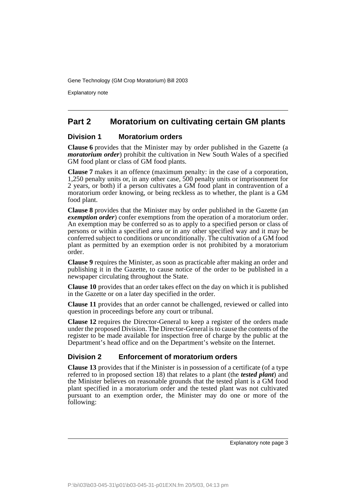Explanatory note

## **Part 2 Moratorium on cultivating certain GM plants**

#### **Division 1 Moratorium orders**

**Clause 6** provides that the Minister may by order published in the Gazette (a *moratorium order*) prohibit the cultivation in New South Wales of a specified GM food plant or class of GM food plants.

**Clause 7** makes it an offence (maximum penalty: in the case of a corporation, 1,250 penalty units or, in any other case, 500 penalty units or imprisonment for 2 years, or both) if a person cultivates a GM food plant in contravention of a moratorium order knowing, or being reckless as to whether, the plant is a GM food plant.

**Clause 8** provides that the Minister may by order published in the Gazette (an *exemption order*) confer exemptions from the operation of a moratorium order. An exemption may be conferred so as to apply to a specified person or class of persons or within a specified area or in any other specified way and it may be conferred subject to conditions or unconditionally. The cultivation of a GM food plant as permitted by an exemption order is not prohibited by a moratorium order.

**Clause 9** requires the Minister, as soon as practicable after making an order and publishing it in the Gazette, to cause notice of the order to be published in a newspaper circulating throughout the State.

**Clause 10** provides that an order takes effect on the day on which it is published in the Gazette or on a later day specified in the order.

**Clause 11** provides that an order cannot be challenged, reviewed or called into question in proceedings before any court or tribunal.

**Clause 12** requires the Director-General to keep a register of the orders made under the proposed Division. The Director-General is to cause the contents of the register to be made available for inspection free of charge by the public at the Department's head office and on the Department's website on the Internet.

### **Division 2 Enforcement of moratorium orders**

**Clause 13** provides that if the Minister is in possession of a certificate (of a type referred to in proposed section 18) that relates to a plant (the *tested plant*) and the Minister believes on reasonable grounds that the tested plant is a GM food plant specified in a moratorium order and the tested plant was not cultivated pursuant to an exemption order, the Minister may do one or more of the following: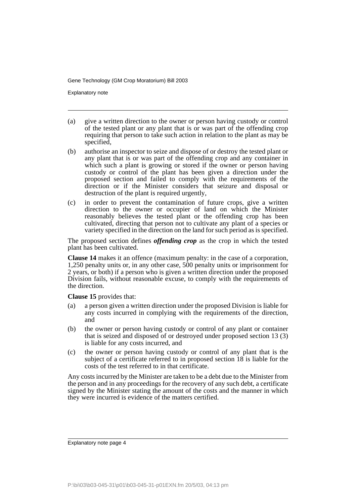Explanatory note

- (a) give a written direction to the owner or person having custody or control of the tested plant or any plant that is or was part of the offending crop requiring that person to take such action in relation to the plant as may be specified,
- (b) authorise an inspector to seize and dispose of or destroy the tested plant or any plant that is or was part of the offending crop and any container in which such a plant is growing or stored if the owner or person having custody or control of the plant has been given a direction under the proposed section and failed to comply with the requirements of the direction or if the Minister considers that seizure and disposal or destruction of the plant is required urgently,
- (c) in order to prevent the contamination of future crops, give a written direction to the owner or occupier of land on which the Minister reasonably believes the tested plant or the offending crop has been cultivated, directing that person not to cultivate any plant of a species or variety specified in the direction on the land for such period as is specified.

The proposed section defines *offending crop* as the crop in which the tested plant has been cultivated.

**Clause 14** makes it an offence (maximum penalty: in the case of a corporation, 1,250 penalty units or, in any other case, 500 penalty units or imprisonment for 2 years, or both) if a person who is given a written direction under the proposed Division fails, without reasonable excuse, to comply with the requirements of the direction.

**Clause 15** provides that:

- (a) a person given a written direction under the proposed Division is liable for any costs incurred in complying with the requirements of the direction, and
- (b) the owner or person having custody or control of any plant or container that is seized and disposed of or destroyed under proposed section 13 (3) is liable for any costs incurred, and
- (c) the owner or person having custody or control of any plant that is the subject of a certificate referred to in proposed section  $18$  is liable for the costs of the test referred to in that certificate.

Any costs incurred by the Minister are taken to be a debt due to the Minister from the person and in any proceedings for the recovery of any such debt, a certificate signed by the Minister stating the amount of the costs and the manner in which they were incurred is evidence of the matters certified.

Explanatory note page 4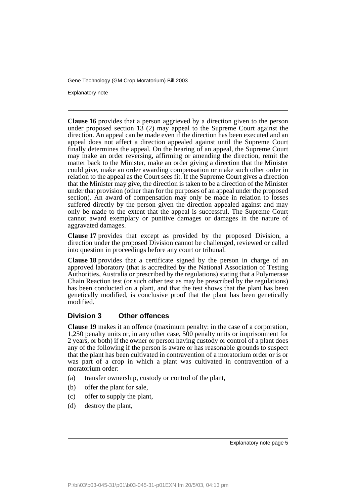Explanatory note

**Clause 16** provides that a person aggrieved by a direction given to the person under proposed section  $13(2)$  may appeal to the Supreme Court against the direction. An appeal can be made even if the direction has been executed and an appeal does not affect a direction appealed against until the Supreme Court finally determines the appeal. On the hearing of an appeal, the Supreme Court may make an order reversing, affirming or amending the direction, remit the matter back to the Minister, make an order giving a direction that the Minister could give, make an order awarding compensation or make such other order in relation to the appeal as the Court sees fit. If the Supreme Court gives a direction that the Minister may give, the direction is taken to be a direction of the Minister under that provision (other than for the purposes of an appeal under the proposed section). An award of compensation may only be made in relation to losses suffered directly by the person given the direction appealed against and may only be made to the extent that the appeal is successful. The Supreme Court cannot award exemplary or punitive damages or damages in the nature of aggravated damages.

**Clause 17** provides that except as provided by the proposed Division, a direction under the proposed Division cannot be challenged, reviewed or called into question in proceedings before any court or tribunal.

**Clause 18** provides that a certificate signed by the person in charge of an approved laboratory (that is accredited by the National Association of Testing Authorities, Australia or prescribed by the regulations) stating that a Polymerase Chain Reaction test (or such other test as may be prescribed by the regulations) has been conducted on a plant, and that the test shows that the plant has been genetically modified, is conclusive proof that the plant has been genetically modified.

### **Division 3 Other offences**

**Clause 19** makes it an offence (maximum penalty: in the case of a corporation, 1,250 penalty units or, in any other case, 500 penalty units or imprisonment for 2 years, or both) if the owner or person having custody or control of a plant does any of the following if the person is aware or has reasonable grounds to suspect that the plant has been cultivated in contravention of a moratorium order or is or was part of a crop in which a plant was cultivated in contravention of a moratorium order:

- (a) transfer ownership, custody or control of the plant,
- (b) offer the plant for sale,
- (c) offer to supply the plant,
- (d) destroy the plant,

Explanatory note page 5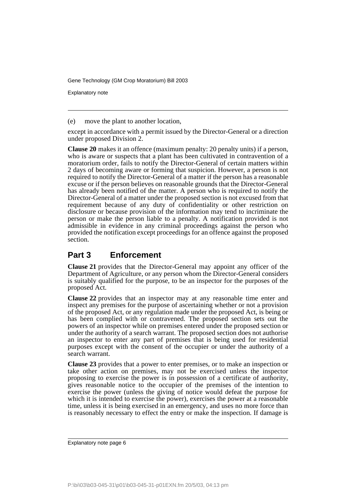Explanatory note

(e) move the plant to another location,

except in accordance with a permit issued by the Director-General or a direction under proposed Division 2.

**Clause 20** makes it an offence (maximum penalty: 20 penalty units) if a person, who is aware or suspects that a plant has been cultivated in contravention of a moratorium order, fails to notify the Director-General of certain matters within 2 days of becoming aware or forming that suspicion. However, a person is not required to notify the Director-General of a matter if the person has a reasonable excuse or if the person believes on reasonable grounds that the Director-General has already been notified of the matter. A person who is required to notify the Director-General of a matter under the proposed section is not excused from that requirement because of any duty of confidentiality or other restriction on disclosure or because provision of the information may tend to incriminate the person or make the person liable to a penalty. A notification provided is not admissible in evidence in any criminal proceedings against the person who provided the notification except proceedings for an offence against the proposed section.

## **Part 3 Enforcement**

**Clause 21** provides that the Director-General may appoint any officer of the Department of Agriculture, or any person whom the Director-General considers is suitably qualified for the purpose, to be an inspector for the purposes of the proposed Act.

**Clause 22** provides that an inspector may at any reasonable time enter and inspect any premises for the purpose of ascertaining whether or not a provision of the proposed Act, or any regulation made under the proposed Act, is being or has been complied with or contravened. The proposed section sets out the powers of an inspector while on premises entered under the proposed section or under the authority of a search warrant. The proposed section does not authorise an inspector to enter any part of premises that is being used for residential purposes except with the consent of the occupier or under the authority of a search warrant.

**Clause 23** provides that a power to enter premises, or to make an inspection or take other action on premises, may not be exercised unless the inspector proposing to exercise the power is in possession of a certificate of authority, gives reasonable notice to the occupier of the premises of the intention to exercise the power (unless the giving of notice would defeat the purpose for which it is intended to exercise the power), exercises the power at a reasonable time, unless it is being exercised in an emergency, and uses no more force than is reasonably necessary to effect the entry or make the inspection. If damage is

Explanatory note page 6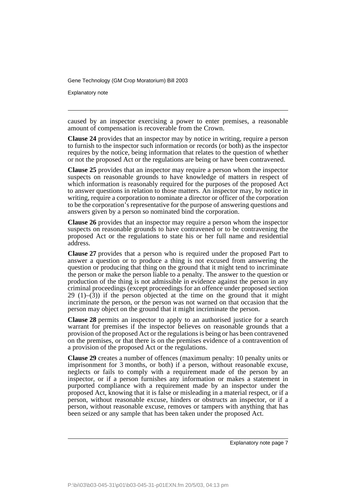Explanatory note

caused by an inspector exercising a power to enter premises, a reasonable amount of compensation is recoverable from the Crown.

**Clause 24** provides that an inspector may by notice in writing, require a person to furnish to the inspector such information or records (or both) as the inspector requires by the notice, being information that relates to the question of whether or not the proposed Act or the regulations are being or have been contravened.

**Clause 25** provides that an inspector may require a person whom the inspector suspects on reasonable grounds to have knowledge of matters in respect of which information is reasonably required for the purposes of the proposed Act to answer questions in relation to those matters. An inspector may, by notice in writing, require a corporation to nominate a director or officer of the corporation to be the corporation's representative for the purpose of answering questions and answers given by a person so nominated bind the corporation.

**Clause 26** provides that an inspector may require a person whom the inspector suspects on reasonable grounds to have contravened or to be contravening the proposed Act or the regulations to state his or her full name and residential address.

**Clause 27** provides that a person who is required under the proposed Part to answer a question or to produce a thing is not excused from answering the question or producing that thing on the ground that it might tend to incriminate the person or make the person liable to a penalty. The answer to the question or production of the thing is not admissible in evidence against the person in any criminal proceedings (except proceedings for an offence under proposed section  $29$  (1)–(3)) if the person objected at the time on the ground that it might incriminate the person, or the person was not warned on that occasion that the person may object on the ground that it might incriminate the person.

**Clause 28** permits an inspector to apply to an authorised justice for a search warrant for premises if the inspector believes on reasonable grounds that a provision of the proposed Act or the regulations is being or has been contravened on the premises, or that there is on the premises evidence of a contravention of a provision of the proposed Act or the regulations.

**Clause 29** creates a number of offences (maximum penalty: 10 penalty units or imprisonment for 3 months, or both) if a person, without reasonable excuse, neglects or fails to comply with a requirement made of the person by an inspector, or if a person furnishes any information or makes a statement in purported compliance with a requirement made by an inspector under the proposed Act, knowing that it is false or misleading in a material respect, or if a person, without reasonable excuse, hinders or obstructs an inspector, or if a person, without reasonable excuse, removes or tampers with anything that has been seized or any sample that has been taken under the proposed Act.

Explanatory note page 7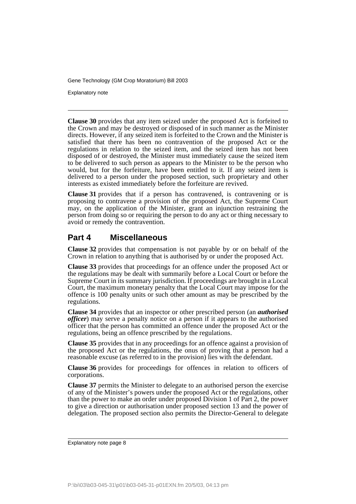Explanatory note

**Clause 30** provides that any item seized under the proposed Act is forfeited to the Crown and may be destroyed or disposed of in such manner as the Minister directs. However, if any seized item is forfeited to the Crown and the Minister is satisfied that there has been no contravention of the proposed Act or the regulations in relation to the seized item, and the seized item has not been disposed of or destroyed, the Minister must immediately cause the seized item to be delivered to such person as appears to the Minister to be the person who would, but for the forfeiture, have been entitled to it. If any seized item is delivered to a person under the proposed section, such proprietary and other interests as existed immediately before the forfeiture are revived.

**Clause 31** provides that if a person has contravened, is contravening or is proposing to contravene a provision of the proposed Act, the Supreme Court may, on the application of the Minister, grant an injunction restraining the person from doing so or requiring the person to do any act or thing necessary to avoid or remedy the contravention.

## **Part 4 Miscellaneous**

**Clause 32** provides that compensation is not payable by or on behalf of the Crown in relation to anything that is authorised by or under the proposed Act.

**Clause 33** provides that proceedings for an offence under the proposed Act or the regulations may be dealt with summarily before a Local Court or before the Supreme Court in its summary jurisdiction. If proceedings are brought in a Local Court, the maximum monetary penalty that the Local Court may impose for the offence is 100 penalty units or such other amount as may be prescribed by the regulations.

**Clause 34** provides that an inspector or other prescribed person (an *authorised officer*) may serve a penalty notice on a person if it appears to the authorised officer that the person has committed an offence under the proposed Act or the regulations, being an offence prescribed by the regulations.

**Clause 35** provides that in any proceedings for an offence against a provision of the proposed Act or the regulations, the onus of proving that a person had a reasonable excuse (as referred to in the provision) lies with the defendant.

**Clause 36** provides for proceedings for offences in relation to officers of corporations.

**Clause 37** permits the Minister to delegate to an authorised person the exercise of any of the Minister's powers under the proposed Act or the regulations, other than the power to make an order under proposed Division 1 of Part 2, the power to give a direction or authorisation under proposed section 13 and the power of delegation. The proposed section also permits the Director-General to delegate

Explanatory note page 8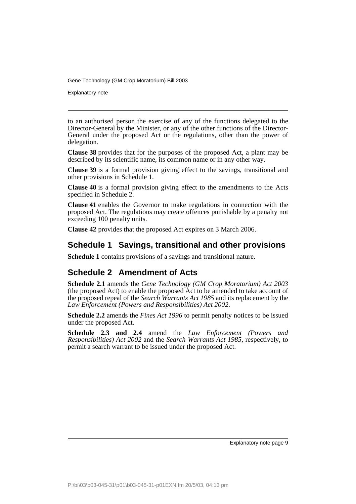Explanatory note

to an authorised person the exercise of any of the functions delegated to the Director-General by the Minister, or any of the other functions of the Director-General under the proposed Act or the regulations, other than the power of delegation.

**Clause 38** provides that for the purposes of the proposed Act, a plant may be described by its scientific name, its common name or in any other way.

**Clause 39** is a formal provision giving effect to the savings, transitional and other provisions in Schedule 1.

**Clause 40** is a formal provision giving effect to the amendments to the Acts specified in Schedule 2.

**Clause 41** enables the Governor to make regulations in connection with the proposed Act. The regulations may create offences punishable by a penalty not exceeding 100 penalty units.

**Clause 42** provides that the proposed Act expires on 3 March 2006.

## **Schedule 1 Savings, transitional and other provisions**

**Schedule 1** contains provisions of a savings and transitional nature.

## **Schedule 2 Amendment of Acts**

**Schedule 2.1** amends the *Gene Technology (GM Crop Moratorium) Act 2003* (the proposed Act) to enable the proposed Act to be amended to take account of the proposed repeal of the *Search Warrants Act 1985* and its replacement by the *Law Enforcement (Powers and Responsibilities) Act 2002*.

**Schedule 2.2** amends the *Fines Act 1996* to permit penalty notices to be issued under the proposed Act.

**Schedule 2.3 and 2.4** amend the *Law Enforcement (Powers and Responsibilities) Act 2002* and the *Search Warrants Act 1985*, respectively, to permit a search warrant to be issued under the proposed Act.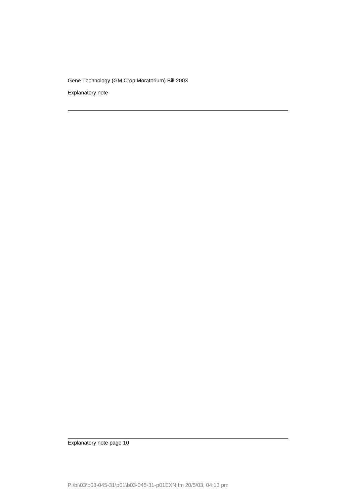Explanatory note

Explanatory note page 10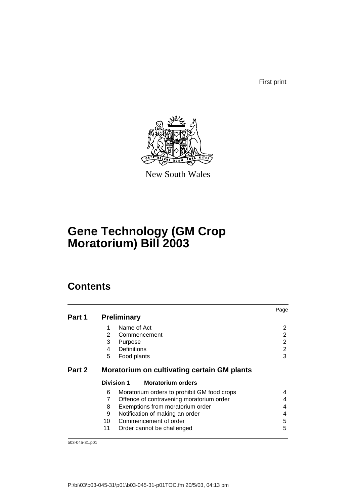First print



New South Wales

# **Gene Technology (GM Crop Moratorium) Bill 2003**

## **Contents**

|        |                                                  | Page |
|--------|--------------------------------------------------|------|
| Part 1 | <b>Preliminary</b>                               |      |
|        | Name of Act<br>1                                 | 2    |
|        | 2<br>Commencement                                | 2    |
|        | 3<br>Purpose                                     | 2    |
|        | Definitions<br>4                                 | 2    |
|        | 5<br>Food plants                                 | 3    |
| Part 2 | Moratorium on cultivating certain GM plants      |      |
|        | <b>Division 1</b><br><b>Moratorium orders</b>    |      |
|        | Moratorium orders to prohibit GM food crops<br>6 | 4    |
|        | 7<br>Offence of contravening moratorium order    | 4    |
|        | Exemptions from moratorium order<br>8            | 4    |
|        | 9<br>Notification of making an order             | 4    |
|        | Commencement of order<br>10                      | 5    |
|        | 11<br>Order cannot be challenged                 | 5    |
|        |                                                  |      |

b03-045-31.p01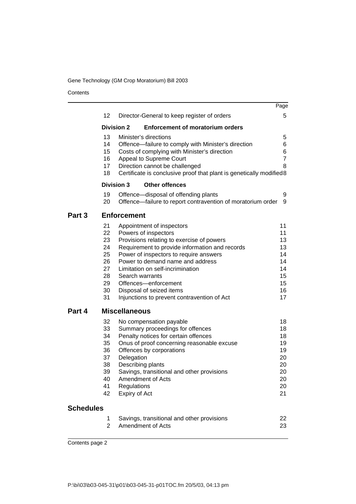**Contents** 

|                  |                                                                |                                                                                                                                                                                                                                                                                                                                                                                          | Page                                                           |
|------------------|----------------------------------------------------------------|------------------------------------------------------------------------------------------------------------------------------------------------------------------------------------------------------------------------------------------------------------------------------------------------------------------------------------------------------------------------------------------|----------------------------------------------------------------|
|                  | 12                                                             | Director-General to keep register of orders                                                                                                                                                                                                                                                                                                                                              | 5                                                              |
|                  | <b>Division 2</b>                                              | <b>Enforcement of moratorium orders</b>                                                                                                                                                                                                                                                                                                                                                  |                                                                |
|                  | 13<br>14<br>15<br>16<br>17<br>18                               | Minister's directions<br>Offence-failure to comply with Minister's direction<br>Costs of complying with Minister's direction<br>Appeal to Supreme Court<br>Direction cannot be challenged<br>Certificate is conclusive proof that plant is genetically modified 8                                                                                                                        | 5<br>6<br>6<br>7<br>8                                          |
|                  | <b>Division 3</b>                                              | <b>Other offences</b>                                                                                                                                                                                                                                                                                                                                                                    |                                                                |
|                  | 19<br>20                                                       | Offence-disposal of offending plants<br>Offence—failure to report contravention of moratorium order                                                                                                                                                                                                                                                                                      | 9<br>9                                                         |
| Part 3           |                                                                | <b>Enforcement</b>                                                                                                                                                                                                                                                                                                                                                                       |                                                                |
|                  | 21<br>22<br>23<br>24<br>25<br>26<br>27<br>28<br>29<br>30<br>31 | Appointment of inspectors<br>Powers of inspectors<br>Provisions relating to exercise of powers<br>Requirement to provide information and records<br>Power of inspectors to require answers<br>Power to demand name and address<br>Limitation on self-incrimination<br>Search warrants<br>Offences-enforcement<br>Disposal of seized items<br>Injunctions to prevent contravention of Act | 11<br>11<br>13<br>13<br>14<br>14<br>14<br>15<br>15<br>16<br>17 |
| Part 4           |                                                                | <b>Miscellaneous</b>                                                                                                                                                                                                                                                                                                                                                                     |                                                                |
|                  | 32<br>33<br>34<br>35<br>36<br>37<br>38<br>39<br>40<br>41<br>42 | No compensation payable<br>Summary proceedings for offences<br>Penalty notices for certain offences<br>Onus of proof concerning reasonable excuse<br>Offences by corporations<br>Delegation<br>Describing plants<br>Savings, transitional and other provisions<br>Amendment of Acts<br>Regulations<br>Expiry of Act                                                                      | 18<br>18<br>18<br>19<br>19<br>20<br>20<br>20<br>20<br>20<br>21 |
| <b>Schedules</b> |                                                                |                                                                                                                                                                                                                                                                                                                                                                                          |                                                                |
|                  | 1<br>$\overline{2}$                                            | Savings, transitional and other provisions<br>Amendment of Acts                                                                                                                                                                                                                                                                                                                          | 22<br>23                                                       |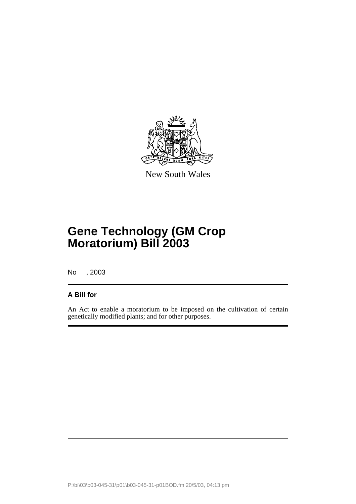

New South Wales

# **Gene Technology (GM Crop Moratorium) Bill 2003**

No , 2003

## **A Bill for**

An Act to enable a moratorium to be imposed on the cultivation of certain genetically modified plants; and for other purposes.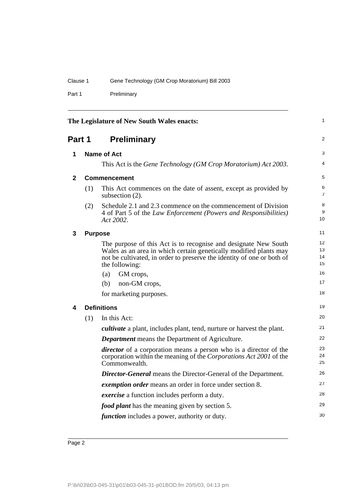Part 1 Preliminary

<span id="page-13-4"></span><span id="page-13-3"></span><span id="page-13-2"></span><span id="page-13-1"></span><span id="page-13-0"></span>

|              |     | The Legislature of New South Wales enacts:                                                                                                                                                                                       | 1                    |
|--------------|-----|----------------------------------------------------------------------------------------------------------------------------------------------------------------------------------------------------------------------------------|----------------------|
| Part 1       |     | <b>Preliminary</b>                                                                                                                                                                                                               | 2                    |
| 1            |     | <b>Name of Act</b>                                                                                                                                                                                                               | 3                    |
|              |     | This Act is the Gene Technology (GM Crop Moratorium) Act 2003.                                                                                                                                                                   | 4                    |
| $\mathbf{2}$ |     | <b>Commencement</b>                                                                                                                                                                                                              | 5                    |
|              | (1) | This Act commences on the date of assent, except as provided by<br>subsection (2).                                                                                                                                               | 6<br>7               |
|              | (2) | Schedule 2.1 and 2.3 commence on the commencement of Division<br>4 of Part 5 of the Law Enforcement (Powers and Responsibilities)<br>Act 2002.                                                                                   | 8<br>9<br>10         |
| 3            |     | <b>Purpose</b>                                                                                                                                                                                                                   | 11                   |
|              |     | The purpose of this Act is to recognise and designate New South<br>Wales as an area in which certain genetically modified plants may<br>not be cultivated, in order to preserve the identity of one or both of<br>the following: | 12<br>13<br>14<br>15 |
|              |     | GM crops,<br>(a)                                                                                                                                                                                                                 | 16                   |
|              |     | non-GM crops,<br>(b)                                                                                                                                                                                                             | 17                   |
|              |     | for marketing purposes.                                                                                                                                                                                                          | 18                   |
| 4            |     | <b>Definitions</b>                                                                                                                                                                                                               | 19                   |
|              | (1) | In this Act:                                                                                                                                                                                                                     | 20                   |
|              |     | <i>cultivate</i> a plant, includes plant, tend, nurture or harvest the plant.                                                                                                                                                    | 21                   |
|              |     | <b>Department</b> means the Department of Agriculture.                                                                                                                                                                           | 22                   |
|              |     | director of a corporation means a person who is a director of the<br>corporation within the meaning of the Corporations Act 2001 of the<br>Commonwealth.                                                                         | 23<br>24<br>25       |
|              |     | <b>Director-General</b> means the Director-General of the Department.                                                                                                                                                            | 26                   |
|              |     | <i>exemption order</i> means an order in force under section 8.                                                                                                                                                                  | 27                   |
|              |     | <i>exercise</i> a function includes perform a duty.                                                                                                                                                                              | 28                   |
|              |     | <i>food plant</i> has the meaning given by section 5.                                                                                                                                                                            | 29                   |
|              |     | <i>function</i> includes a power, authority or duty.                                                                                                                                                                             | 30                   |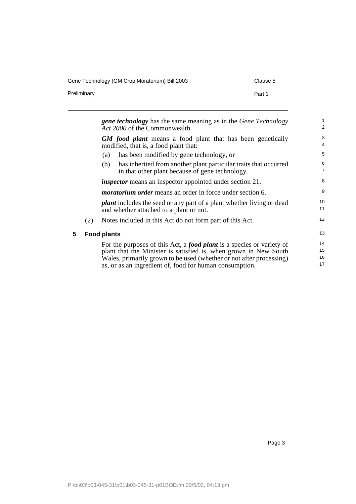| Gene Technology (GM Crop Moratorium) Bill 2003 |        |  |
|------------------------------------------------|--------|--|
| Preliminary                                    | Part 1 |  |

<span id="page-14-0"></span>

|   | <b>gene technology</b> has the same meaning as in the Gene Technology<br>Act 2000 of the Commonwealth. |                                                                                                                                                                                                                                                                                    |                      |  |
|---|--------------------------------------------------------------------------------------------------------|------------------------------------------------------------------------------------------------------------------------------------------------------------------------------------------------------------------------------------------------------------------------------------|----------------------|--|
|   |                                                                                                        | GM food plant means a food plant that has been genetically<br>modified, that is, a food plant that:                                                                                                                                                                                | 3<br>4               |  |
|   |                                                                                                        | has been modified by gene technology, or<br>(a)                                                                                                                                                                                                                                    | 5                    |  |
|   |                                                                                                        | has inherited from another plant particular traits that occurred<br>(b)<br>in that other plant because of gene technology.                                                                                                                                                         | 6<br>$\overline{7}$  |  |
|   |                                                                                                        | <i>inspector</i> means an inspector appointed under section 21.                                                                                                                                                                                                                    | 8                    |  |
|   |                                                                                                        | <i>moratorium order</i> means an order in force under section 6.                                                                                                                                                                                                                   | 9                    |  |
|   |                                                                                                        | <i>plant</i> includes the seed or any part of a plant whether living or dead<br>and whether attached to a plant or not.                                                                                                                                                            | 10<br>11             |  |
|   | (2)                                                                                                    | Notes included in this Act do not form part of this Act.                                                                                                                                                                                                                           | 12                   |  |
| 5 |                                                                                                        | <b>Food plants</b>                                                                                                                                                                                                                                                                 | 13                   |  |
|   |                                                                                                        | For the purposes of this Act, a <i>food plant</i> is a species or variety of<br>plant that the Minister is satisfied is, when grown in New South<br>Wales, primarily grown to be used (whether or not after processing)<br>as, or as an ingredient of, food for human consumption. | 14<br>15<br>16<br>17 |  |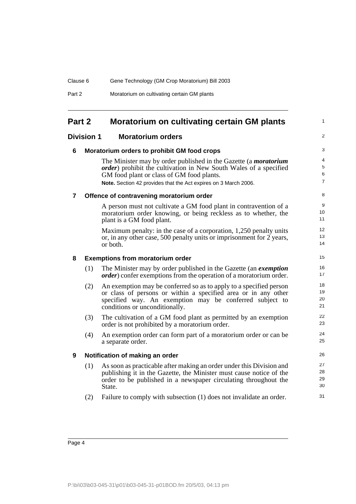| Part 2 | Moratorium on cultivating certain GM plants |  |
|--------|---------------------------------------------|--|
|--------|---------------------------------------------|--|

## <span id="page-15-0"></span>**Part 2 Moratorium on cultivating certain GM plants**

#### <span id="page-15-2"></span><span id="page-15-1"></span>**Division 1 Moratorium orders**

#### **6 Moratorium orders to prohibit GM food crops**

The Minister may by order published in the Gazette (a *moratorium order*) prohibit the cultivation in New South Wales of a specified GM food plant or class of GM food plants. **Note.** Section 42 provides that the Act expires on 3 March 2006.

1

 $\overline{2}$ 

#### <span id="page-15-3"></span>**7 Offence of contravening moratorium order**

A person must not cultivate a GM food plant in contravention of a moratorium order knowing, or being reckless as to whether, the plant is a GM food plant.

Maximum penalty: in the case of a corporation, 1,250 penalty units or, in any other case, 500 penalty units or imprisonment for 2 years, or both.

#### <span id="page-15-4"></span>**8 Exemptions from moratorium order**

- (1) The Minister may by order published in the Gazette (an *exemption order*) confer exemptions from the operation of a moratorium order.
- (2) An exemption may be conferred so as to apply to a specified person or class of persons or within a specified area or in any other specified way. An exemption may be conferred subject to conditions or unconditionally.
- (3) The cultivation of a GM food plant as permitted by an exemption order is not prohibited by a moratorium order.
- (4) An exemption order can form part of a moratorium order or can be a separate order.

#### <span id="page-15-5"></span>**9 Notification of making an order**

- (1) As soon as practicable after making an order under this Division and publishing it in the Gazette, the Minister must cause notice of the order to be published in a newspaper circulating throughout the State.
- (2) Failure to comply with subsection (1) does not invalidate an order.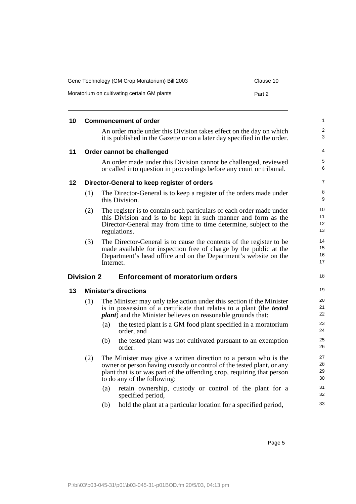| Gene Technology (GM Crop Moratorium) Bill 2003 | Clause 10 |
|------------------------------------------------|-----------|
| Moratorium on cultivating certain GM plants    | Part 2    |

#### <span id="page-16-4"></span><span id="page-16-3"></span><span id="page-16-2"></span><span id="page-16-1"></span><span id="page-16-0"></span>**10 Commencement of order** An order made under this Division takes effect on the day on which it is published in the Gazette or on a later day specified in the order. **11 Order cannot be challenged** An order made under this Division cannot be challenged, reviewed or called into question in proceedings before any court or tribunal. **12 Director-General to keep register of orders** (1) The Director-General is to keep a register of the orders made under this Division. (2) The register is to contain such particulars of each order made under this Division and is to be kept in such manner and form as the Director-General may from time to time determine, subject to the regulations. (3) The Director-General is to cause the contents of the register to be made available for inspection free of charge by the public at the Department's head office and on the Department's website on the Internet. **Division 2 Enforcement of moratorium orders 13 Minister's directions** (1) The Minister may only take action under this section if the Minister is in possession of a certificate that relates to a plant (the *tested plant*) and the Minister believes on reasonable grounds that: (a) the tested plant is a GM food plant specified in a moratorium order, and (b) the tested plant was not cultivated pursuant to an exemption order. (2) The Minister may give a written direction to a person who is the owner or person having custody or control of the tested plant, or any plant that is or was part of the offending crop, requiring that person to do any of the following: (a) retain ownership, custody or control of the plant for a specified period, (b) hold the plant at a particular location for a specified period, 1  $\overline{2}$ 3 4 5 6 7 8 9 10 11 12 13 14 15 16 17 18 19 20 21 22 23 24 25 26 27 28 29 30 31 32 33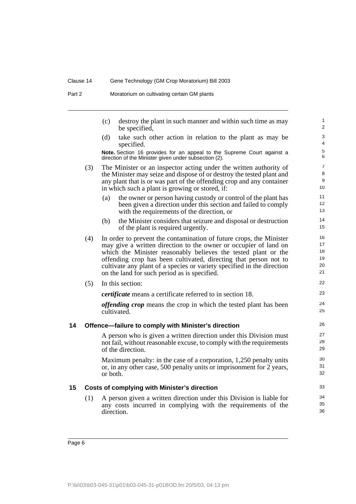| Moratorium on cultivating certain GM plants<br>Part 2 |  |
|-------------------------------------------------------|--|
|-------------------------------------------------------|--|

<span id="page-17-1"></span><span id="page-17-0"></span>

|    |     | (c)        | destroy the plant in such manner and within such time as may<br>be specified,                                                                                                                                                                                                                                                                                                                           | 1<br>2                           |
|----|-----|------------|---------------------------------------------------------------------------------------------------------------------------------------------------------------------------------------------------------------------------------------------------------------------------------------------------------------------------------------------------------------------------------------------------------|----------------------------------|
|    |     | (d)        | take such other action in relation to the plant as may be<br>specified.                                                                                                                                                                                                                                                                                                                                 | 3<br>4                           |
|    |     |            | Note. Section 16 provides for an appeal to the Supreme Court against a<br>direction of the Minister given under subsection (2).                                                                                                                                                                                                                                                                         | 5<br>6                           |
|    | (3) |            | The Minister or an inspector acting under the written authority of<br>the Minister may seize and dispose of or destroy the tested plant and<br>any plant that is or was part of the offending crop and any container<br>in which such a plant is growing or stored, if:                                                                                                                                 | $\overline{7}$<br>8<br>9<br>10   |
|    |     | (a)        | the owner or person having custody or control of the plant has<br>been given a direction under this section and failed to comply<br>with the requirements of the direction, or                                                                                                                                                                                                                          | 11<br>12<br>13                   |
|    |     | (b)        | the Minister considers that seizure and disposal or destruction<br>of the plant is required urgently.                                                                                                                                                                                                                                                                                                   | 14<br>15                         |
|    | (4) |            | In order to prevent the contamination of future crops, the Minister<br>may give a written direction to the owner or occupier of land on<br>which the Minister reasonably believes the tested plant or the<br>offending crop has been cultivated, directing that person not to<br>cultivate any plant of a species or variety specified in the direction<br>on the land for such period as is specified. | 16<br>17<br>18<br>19<br>20<br>21 |
|    | (5) |            | In this section:                                                                                                                                                                                                                                                                                                                                                                                        | 22                               |
|    |     |            | <i>certificate</i> means a certificate referred to in section 18.                                                                                                                                                                                                                                                                                                                                       | 23                               |
|    |     |            | <i>offending crop</i> means the crop in which the tested plant has been<br>cultivated.                                                                                                                                                                                                                                                                                                                  | 24<br>25                         |
| 14 |     |            | Offence-failure to comply with Minister's direction                                                                                                                                                                                                                                                                                                                                                     | 26                               |
|    |     |            | A person who is given a written direction under this Division must<br>not fail, without reasonable excuse, to comply with the requirements<br>of the direction.                                                                                                                                                                                                                                         | 27<br>28<br>29                   |
|    |     | or both.   | Maximum penalty: in the case of a corporation, 1,250 penalty units<br>or, in any other case, 500 penalty units or imprisonment for 2 years,                                                                                                                                                                                                                                                             | 30<br>31<br>32                   |
| 15 |     |            | <b>Costs of complying with Minister's direction</b>                                                                                                                                                                                                                                                                                                                                                     | 33                               |
|    | (1) | direction. | A person given a written direction under this Division is liable for<br>any costs incurred in complying with the requirements of the                                                                                                                                                                                                                                                                    | 34<br>35<br>36                   |
|    |     |            |                                                                                                                                                                                                                                                                                                                                                                                                         |                                  |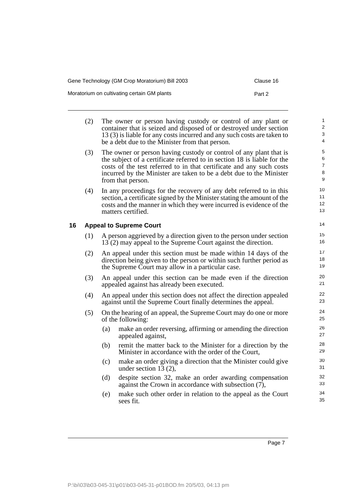| Gene Technology (GM Crop Moratorium) Bill 2003 | Clause 16 |
|------------------------------------------------|-----------|
| Moratorium on cultivating certain GM plants    | Part 2    |

|    | (2) | The owner or person having custody or control of any plant or<br>container that is seized and disposed of or destroyed under section<br>13 (3) is liable for any costs incurred and any such costs are taken to<br>be a debt due to the Minister from that person.                                                 | $\mathbf{1}$<br>$\overline{2}$<br>3<br>$\overline{\mathbf{4}}$                 |
|----|-----|--------------------------------------------------------------------------------------------------------------------------------------------------------------------------------------------------------------------------------------------------------------------------------------------------------------------|--------------------------------------------------------------------------------|
|    | (3) | The owner or person having custody or control of any plant that is<br>the subject of a certificate referred to in section 18 is liable for the<br>costs of the test referred to in that certificate and any such costs<br>incurred by the Minister are taken to be a debt due to the Minister<br>from that person. | $\sqrt{5}$<br>$\,6$<br>$\overline{\mathcal{I}}$<br>$\bf 8$<br>$\boldsymbol{9}$ |
|    | (4) | In any proceedings for the recovery of any debt referred to in this<br>section, a certificate signed by the Minister stating the amount of the<br>costs and the manner in which they were incurred is evidence of the<br>matters certified.                                                                        | 10<br>11<br>12<br>13                                                           |
| 16 |     | <b>Appeal to Supreme Court</b>                                                                                                                                                                                                                                                                                     | 14                                                                             |
|    | (1) | A person aggrieved by a direction given to the person under section<br>13 (2) may appeal to the Supreme Court against the direction.                                                                                                                                                                               | 15<br>16                                                                       |
|    | (2) | An appeal under this section must be made within 14 days of the<br>direction being given to the person or within such further period as<br>the Supreme Court may allow in a particular case.                                                                                                                       | 17<br>18<br>19                                                                 |
|    | (3) | An appeal under this section can be made even if the direction<br>appealed against has already been executed.                                                                                                                                                                                                      | 20<br>21                                                                       |
|    | (4) | An appeal under this section does not affect the direction appealed<br>against until the Supreme Court finally determines the appeal.                                                                                                                                                                              | 22<br>23                                                                       |
|    | (5) | On the hearing of an anneal, the Supreme Court may do one or more                                                                                                                                                                                                                                                  | 24                                                                             |

- <span id="page-18-0"></span>(5) On the hearing of an appeal, the Supreme Court may do one or more of the following:
	- (a) make an order reversing, affirming or amending the direction appealed against,
	- (b) remit the matter back to the Minister for a direction by the Minister in accordance with the order of the Court,
	- (c) make an order giving a direction that the Minister could give under section 13 (2),
	- (d) despite section 32, make an order awarding compensation against the Crown in accordance with subsection (7),
	- (e) make such other order in relation to the appeal as the Court sees fit.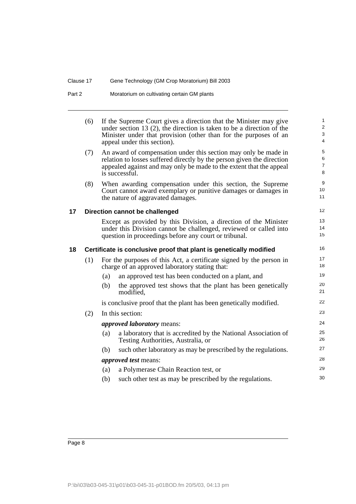## Clause 17 Gene Technology (GM Crop Moratorium) Bill 2003

| Part 2 | Moratorium on cultivating certain GM plants |  |  |  |
|--------|---------------------------------------------|--|--|--|
|--------|---------------------------------------------|--|--|--|

<span id="page-19-1"></span><span id="page-19-0"></span>

|    | (6) |                                                                                                                       | If the Supreme Court gives a direction that the Minister may give<br>under section 13 $(2)$ , the direction is taken to be a direction of the<br>Minister under that provision (other than for the purposes of an<br>appeal under this section). | $\mathbf{1}$<br>$\overline{\mathbf{c}}$<br>3<br>$\overline{\mathbf{4}}$ |
|----|-----|-----------------------------------------------------------------------------------------------------------------------|--------------------------------------------------------------------------------------------------------------------------------------------------------------------------------------------------------------------------------------------------|-------------------------------------------------------------------------|
|    | (7) |                                                                                                                       | An award of compensation under this section may only be made in<br>relation to losses suffered directly by the person given the direction<br>appealed against and may only be made to the extent that the appeal<br>is successful.               | 5<br>$\,6$<br>$\overline{7}$<br>8                                       |
|    | (8) |                                                                                                                       | When awarding compensation under this section, the Supreme<br>Court cannot award exemplary or punitive damages or damages in<br>the nature of aggravated damages.                                                                                | 9<br>10<br>11                                                           |
| 17 |     |                                                                                                                       | Direction cannot be challenged                                                                                                                                                                                                                   | 12                                                                      |
|    |     |                                                                                                                       | Except as provided by this Division, a direction of the Minister<br>under this Division cannot be challenged, reviewed or called into<br>question in proceedings before any court or tribunal.                                                   | 13<br>14<br>15                                                          |
| 18 |     |                                                                                                                       | Certificate is conclusive proof that plant is genetically modified                                                                                                                                                                               | 16                                                                      |
|    | (1) | For the purposes of this Act, a certificate signed by the person in<br>charge of an approved laboratory stating that: |                                                                                                                                                                                                                                                  |                                                                         |
|    |     | (a)                                                                                                                   | an approved test has been conducted on a plant, and                                                                                                                                                                                              | 19                                                                      |
|    |     | (b)                                                                                                                   | the approved test shows that the plant has been genetically<br>modified,                                                                                                                                                                         | 20<br>21                                                                |
|    |     |                                                                                                                       | is conclusive proof that the plant has been genetically modified.                                                                                                                                                                                | 22                                                                      |
|    | (2) |                                                                                                                       | In this section:                                                                                                                                                                                                                                 | 23                                                                      |
|    |     |                                                                                                                       | <i>approved laboratory</i> means:                                                                                                                                                                                                                | 24                                                                      |
|    |     | (a)                                                                                                                   | a laboratory that is accredited by the National Association of<br>Testing Authorities, Australia, or                                                                                                                                             | 25<br>26                                                                |
|    |     | (b)                                                                                                                   | such other laboratory as may be prescribed by the regulations.                                                                                                                                                                                   | 27                                                                      |
|    |     |                                                                                                                       | <i>approved test</i> means:                                                                                                                                                                                                                      | 28                                                                      |
|    |     | (a)                                                                                                                   | a Polymerase Chain Reaction test, or                                                                                                                                                                                                             | 29                                                                      |
|    |     | (b)                                                                                                                   | such other test as may be prescribed by the regulations.                                                                                                                                                                                         | 30                                                                      |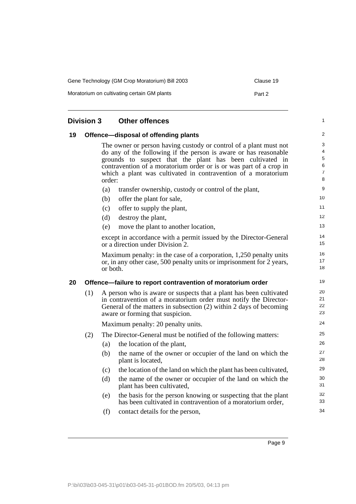| Gene Technology (GM Crop Moratorium) Bill 2003 | Clause 19 |
|------------------------------------------------|-----------|
| Moratorium on cultivating certain GM plants    | Part 2    |

<span id="page-20-0"></span>

| <b>Division 3</b><br><b>Other offences</b> |  |
|--------------------------------------------|--|
|--------------------------------------------|--|

<span id="page-20-2"></span><span id="page-20-1"></span>

| 19 |     | Offence-disposal of offending plants                                                                                                                                                                                                                                                                                                               | $\overline{2}$             |
|----|-----|----------------------------------------------------------------------------------------------------------------------------------------------------------------------------------------------------------------------------------------------------------------------------------------------------------------------------------------------------|----------------------------|
|    |     | The owner or person having custody or control of a plant must not<br>do any of the following if the person is aware or has reasonable<br>grounds to suspect that the plant has been cultivated in<br>contravention of a moratorium order or is or was part of a crop in<br>which a plant was cultivated in contravention of a moratorium<br>order: | 3<br>4<br>5<br>6<br>7<br>8 |
|    |     | (a)<br>transfer ownership, custody or control of the plant,                                                                                                                                                                                                                                                                                        | 9                          |
|    |     | (b)<br>offer the plant for sale,                                                                                                                                                                                                                                                                                                                   | 10                         |
|    |     | offer to supply the plant,<br>(c)                                                                                                                                                                                                                                                                                                                  | 11                         |
|    |     | (d)<br>destroy the plant,                                                                                                                                                                                                                                                                                                                          | 12                         |
|    |     | (e)<br>move the plant to another location,                                                                                                                                                                                                                                                                                                         | 13                         |
|    |     | except in accordance with a permit issued by the Director-General<br>or a direction under Division 2.                                                                                                                                                                                                                                              | 14<br>15                   |
|    |     | Maximum penalty: in the case of a corporation, 1,250 penalty units<br>or, in any other case, 500 penalty units or imprisonment for 2 years,<br>or both.                                                                                                                                                                                            | 16<br>17<br>18             |
| 20 |     | Offence-failure to report contravention of moratorium order                                                                                                                                                                                                                                                                                        | 19                         |
|    | (1) | A person who is aware or suspects that a plant has been cultivated<br>in contravention of a moratorium order must notify the Director-<br>General of the matters in subsection (2) within 2 days of becoming<br>aware or forming that suspicion.                                                                                                   | 20<br>21<br>22<br>23       |
|    |     | Maximum penalty: 20 penalty units.                                                                                                                                                                                                                                                                                                                 | 24                         |
|    | (2) | The Director-General must be notified of the following matters:                                                                                                                                                                                                                                                                                    | 25                         |
|    |     | the location of the plant,<br>(a)                                                                                                                                                                                                                                                                                                                  | 26                         |
|    |     | (b)<br>the name of the owner or occupier of the land on which the<br>plant is located,                                                                                                                                                                                                                                                             | 27<br>28                   |
|    |     | the location of the land on which the plant has been cultivated,<br>(c)                                                                                                                                                                                                                                                                            | 29                         |
|    |     | (d)<br>the name of the owner or occupier of the land on which the<br>plant has been cultivated,                                                                                                                                                                                                                                                    | 30<br>31                   |
|    |     | the basis for the person knowing or suspecting that the plant<br>(e)<br>has been cultivated in contravention of a moratorium order,                                                                                                                                                                                                                | 32<br>33                   |
|    |     | (f)<br>contact details for the person,                                                                                                                                                                                                                                                                                                             | 34                         |
|    |     |                                                                                                                                                                                                                                                                                                                                                    |                            |

1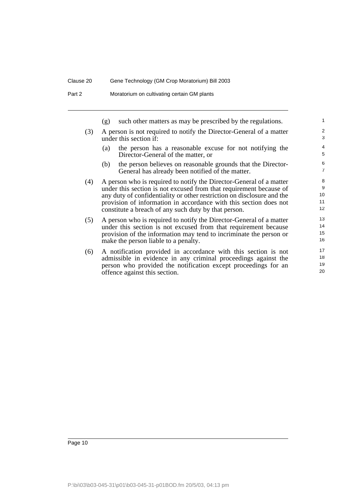|     | (g) | such other matters as may be prescribed by the regulations.                                                                                                                                                                                                                                                                                      | $\mathbf{1}$            |  |
|-----|-----|--------------------------------------------------------------------------------------------------------------------------------------------------------------------------------------------------------------------------------------------------------------------------------------------------------------------------------------------------|-------------------------|--|
| (3) |     | A person is not required to notify the Director-General of a matter<br>under this section if:                                                                                                                                                                                                                                                    | $\overline{2}$<br>3     |  |
|     | (a) | the person has a reasonable excuse for not notifying the<br>Director-General of the matter, or                                                                                                                                                                                                                                                   | $\overline{4}$<br>5     |  |
|     | (b) | the person believes on reasonable grounds that the Director-<br>General has already been notified of the matter.                                                                                                                                                                                                                                 | $\,6$<br>$\overline{7}$ |  |
| (4) |     | A person who is required to notify the Director-General of a matter<br>under this section is not excused from that requirement because of<br>any duty of confidentiality or other restriction on disclosure and the<br>provision of information in accordance with this section does not<br>constitute a breach of any such duty by that person. |                         |  |
| (5) |     | A person who is required to notify the Director-General of a matter<br>under this section is not excused from that requirement because<br>provision of the information may tend to incriminate the person or<br>make the person liable to a penalty.                                                                                             | 13<br>14<br>15<br>16    |  |
| (6) |     | A notification provided in accordance with this section is not<br>admissible in evidence in any criminal proceedings against the<br>person who provided the notification except proceedings for an<br>offence against this section.                                                                                                              | 17<br>18<br>19<br>20    |  |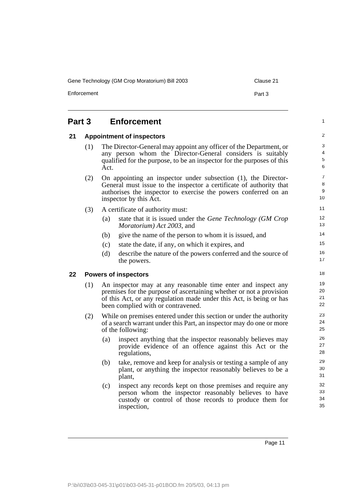Gene Technology (GM Crop Moratorium) Bill 2003 Clause 21

Enforcement Part 3

1

## <span id="page-22-0"></span>**Part 3 Enforcement**

#### <span id="page-22-1"></span>**21 Appointment of inspectors**

- (1) The Director-General may appoint any officer of the Department, or any person whom the Director-General considers is suitably qualified for the purpose, to be an inspector for the purposes of this Act.
- (2) On appointing an inspector under subsection (1), the Director-General must issue to the inspector a certificate of authority that authorises the inspector to exercise the powers conferred on an inspector by this Act.
- (3) A certificate of authority must:
	- (a) state that it is issued under the *Gene Technology (GM Crop Moratorium) Act 2003*, and
	- (b) give the name of the person to whom it is issued, and
	- (c) state the date, if any, on which it expires, and
	- (d) describe the nature of the powers conferred and the source of the powers.

#### <span id="page-22-2"></span>**22 Powers of inspectors**

- (1) An inspector may at any reasonable time enter and inspect any premises for the purpose of ascertaining whether or not a provision of this Act, or any regulation made under this Act, is being or has been complied with or contravened.
- (2) While on premises entered under this section or under the authority of a search warrant under this Part, an inspector may do one or more of the following:
	- (a) inspect anything that the inspector reasonably believes may provide evidence of an offence against this Act or the regulations,
	- (b) take, remove and keep for analysis or testing a sample of any plant, or anything the inspector reasonably believes to be a plant,
	- (c) inspect any records kept on those premises and require any person whom the inspector reasonably believes to have custody or control of those records to produce them for inspection,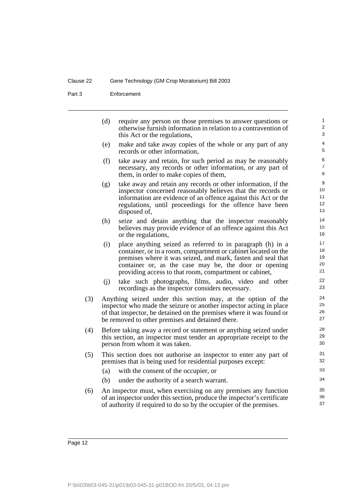## Clause 22 Gene Technology (GM Crop Moratorium) Bill 2003

Part 3 Enforcement

|     | (d) | require any person on those premises to answer questions or<br>otherwise furnish information in relation to a contravention of<br>this Act or the regulations,                                                                                                                                                  | $\mathbf{1}$<br>$\overline{\mathbf{c}}$<br>3 |
|-----|-----|-----------------------------------------------------------------------------------------------------------------------------------------------------------------------------------------------------------------------------------------------------------------------------------------------------------------|----------------------------------------------|
|     | (e) | make and take away copies of the whole or any part of any<br>records or other information,                                                                                                                                                                                                                      | 4<br>5                                       |
|     | (f) | take away and retain, for such period as may be reasonably<br>necessary, any records or other information, or any part of<br>them, in order to make copies of them,                                                                                                                                             | 6<br>$\overline{7}$<br>8                     |
|     | (g) | take away and retain any records or other information, if the<br>inspector concerned reasonably believes that the records or<br>information are evidence of an offence against this Act or the<br>regulations, until proceedings for the offence have been<br>disposed of,                                      | 9<br>10<br>11<br>12<br>13                    |
|     | (h) | seize and detain anything that the inspector reasonably<br>believes may provide evidence of an offence against this Act<br>or the regulations,                                                                                                                                                                  | 14<br>15<br>16                               |
|     | (i) | place anything seized as referred to in paragraph (h) in a<br>container, or in a room, compartment or cabinet located on the<br>premises where it was seized, and mark, fasten and seal that<br>container or, as the case may be, the door or opening<br>providing access to that room, compartment or cabinet, | 17<br>18<br>19<br>20<br>21                   |
|     | (i) | take such photographs, films, audio, video and other<br>recordings as the inspector considers necessary.                                                                                                                                                                                                        | 22<br>23                                     |
| (3) |     | Anything seized under this section may, at the option of the<br>inspector who made the seizure or another inspector acting in place<br>of that inspector, be detained on the premises where it was found or<br>be removed to other premises and detained there.                                                 | 24<br>25<br>26<br>27                         |
| (4) |     | Before taking away a record or statement or anything seized under<br>this section, an inspector must tender an appropriate receipt to the<br>person from whom it was taken.                                                                                                                                     | 28<br>29<br>30                               |
| (5) |     | This section does not authorise an inspector to enter any part of<br>premises that is being used for residential purposes except:                                                                                                                                                                               | 31<br>32                                     |
|     | (a) | with the consent of the occupier, or                                                                                                                                                                                                                                                                            | 33                                           |
|     | (b) | under the authority of a search warrant.                                                                                                                                                                                                                                                                        | 34                                           |
| (6) |     | An inspector must, when exercising on any premises any function<br>of an inspector under this section, produce the inspector's certificate<br>of authority if required to do so by the occupier of the premises.                                                                                                | 35<br>36<br>37                               |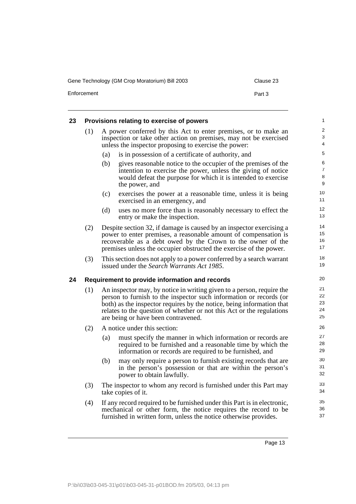Gene Technology (GM Crop Moratorium) Bill 2003 Clause 23

Enforcement Part 3

<span id="page-24-1"></span><span id="page-24-0"></span>

| (1) |     | A power conferred by this Act to enter premises, or to make an                                                                                                                                                                                                                                                                       |
|-----|-----|--------------------------------------------------------------------------------------------------------------------------------------------------------------------------------------------------------------------------------------------------------------------------------------------------------------------------------------|
|     |     | inspection or take other action on premises, may not be exercised<br>unless the inspector proposing to exercise the power:                                                                                                                                                                                                           |
|     | (a) | is in possession of a certificate of authority, and                                                                                                                                                                                                                                                                                  |
|     | (b) | gives reasonable notice to the occupier of the premises of the<br>intention to exercise the power, unless the giving of notice<br>would defeat the purpose for which it is intended to exercise<br>the power, and                                                                                                                    |
|     | (c) | exercises the power at a reasonable time, unless it is being<br>exercised in an emergency, and                                                                                                                                                                                                                                       |
|     | (d) | uses no more force than is reasonably necessary to effect the<br>entry or make the inspection.                                                                                                                                                                                                                                       |
| (2) |     | Despite section 32, if damage is caused by an inspector exercising a<br>power to enter premises, a reasonable amount of compensation is<br>recoverable as a debt owed by the Crown to the owner of the<br>premises unless the occupier obstructed the exercise of the power.                                                         |
| (3) |     | This section does not apply to a power conferred by a search warrant<br>issued under the Search Warrants Act 1985.                                                                                                                                                                                                                   |
|     |     | Requirement to provide information and records                                                                                                                                                                                                                                                                                       |
| (1) |     | An inspector may, by notice in writing given to a person, require the<br>person to furnish to the inspector such information or records (or<br>both) as the inspector requires by the notice, being information that<br>relates to the question of whether or not this Act or the regulations<br>are being or have been contravened. |
| (2) |     | A notice under this section:                                                                                                                                                                                                                                                                                                         |
|     | (a) | must specify the manner in which information or records are<br>required to be furnished and a reasonable time by which the<br>information or records are required to be furnished, and                                                                                                                                               |
|     | (b) | may only require a person to furnish existing records that are<br>in the person's possession or that are within the person's<br>power to obtain lawfully.                                                                                                                                                                            |
| (3) |     | The inspector to whom any record is furnished under this Part may<br>take copies of it.                                                                                                                                                                                                                                              |
| (4) |     | If any record required to be furnished under this Part is in electronic,<br>mechanical or other form, the notice requires the record to be<br>furnished in written form, unless the notice otherwise provides.                                                                                                                       |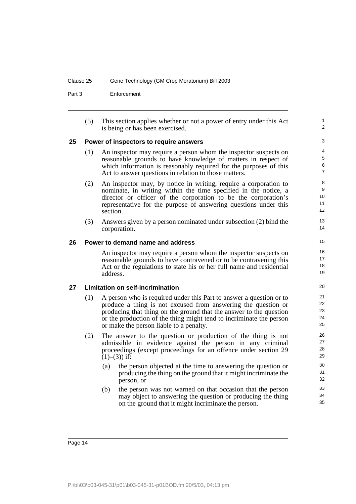#### Clause 25 Gene Technology (GM Crop Moratorium) Bill 2003

Part 3 Enforcement

(5) This section applies whether or not a power of entry under this Act is being or has been exercised.

1  $\overline{2}$ 

#### <span id="page-25-0"></span>**25 Power of inspectors to require answers**

- (1) An inspector may require a person whom the inspector suspects on reasonable grounds to have knowledge of matters in respect of which information is reasonably required for the purposes of this Act to answer questions in relation to those matters.
- (2) An inspector may, by notice in writing, require a corporation to nominate, in writing within the time specified in the notice, a director or officer of the corporation to be the corporation's representative for the purpose of answering questions under this section.
- (3) Answers given by a person nominated under subsection (2) bind the corporation.

#### <span id="page-25-1"></span>**26 Power to demand name and address**

An inspector may require a person whom the inspector suspects on reasonable grounds to have contravened or to be contravening this Act or the regulations to state his or her full name and residential address.

#### <span id="page-25-2"></span>**27 Limitation on self-incrimination**

- (1) A person who is required under this Part to answer a question or to produce a thing is not excused from answering the question or producing that thing on the ground that the answer to the question or the production of the thing might tend to incriminate the person or make the person liable to a penalty.
- (2) The answer to the question or production of the thing is not admissible in evidence against the person in any criminal proceedings (except proceedings for an offence under section 29  $(1)–(3)$ ) if:
	- (a) the person objected at the time to answering the question or producing the thing on the ground that it might incriminate the person, or
	- (b) the person was not warned on that occasion that the person may object to answering the question or producing the thing on the ground that it might incriminate the person.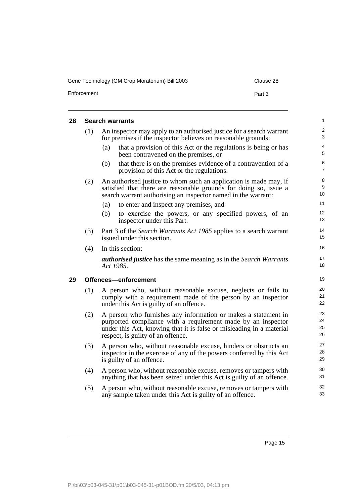Gene Technology (GM Crop Moratorium) Bill 2003 Clause 28 Enforcement Part 3

<span id="page-26-1"></span><span id="page-26-0"></span>

| 28 |     | <b>Search warrants</b>                                                                                                                                                                                                                      | 1                            |
|----|-----|---------------------------------------------------------------------------------------------------------------------------------------------------------------------------------------------------------------------------------------------|------------------------------|
|    | (1) | An inspector may apply to an authorised justice for a search warrant<br>for premises if the inspector believes on reasonable grounds:                                                                                                       | $\overline{\mathbf{c}}$<br>3 |
|    |     | that a provision of this Act or the regulations is being or has<br>(a)<br>been contravened on the premises, or                                                                                                                              | 4<br>5                       |
|    |     | that there is on the premises evidence of a contravention of a<br>(b)<br>provision of this Act or the regulations.                                                                                                                          | 6<br>$\overline{7}$          |
|    | (2) | An authorised justice to whom such an application is made may, if<br>satisfied that there are reasonable grounds for doing so, issue a<br>search warrant authorising an inspector named in the warrant:                                     | 8<br>9<br>10                 |
|    |     | to enter and inspect any premises, and<br>(a)                                                                                                                                                                                               | 11                           |
|    |     | (b)<br>to exercise the powers, or any specified powers, of an<br>inspector under this Part.                                                                                                                                                 | 12<br>13                     |
|    | (3) | Part 3 of the <i>Search Warrants Act 1985</i> applies to a search warrant<br>issued under this section.                                                                                                                                     | 14<br>15                     |
|    | (4) | In this section:                                                                                                                                                                                                                            | 16                           |
|    |     | <b>authorised justice</b> has the same meaning as in the Search Warrants<br>Act 1985.                                                                                                                                                       | 17<br>18                     |
| 29 |     | Offences-enforcement                                                                                                                                                                                                                        | 19                           |
|    | (1) | A person who, without reasonable excuse, neglects or fails to<br>comply with a requirement made of the person by an inspector<br>under this Act is guilty of an offence.                                                                    | 20<br>21<br>22               |
|    | (2) | A person who furnishes any information or makes a statement in<br>purported compliance with a requirement made by an inspector<br>under this Act, knowing that it is false or misleading in a material<br>respect, is guilty of an offence. | 23<br>24<br>25<br>26         |
|    | (3) | A person who, without reasonable excuse, hinders or obstructs an<br>inspector in the exercise of any of the powers conferred by this Act<br>is guilty of an offence.                                                                        | 27<br>28<br>29               |
|    | (4) | A person who, without reasonable excuse, removes or tampers with<br>anything that has been seized under this Act is guilty of an offence.                                                                                                   | 30<br>31                     |
|    | (5) | A person who, without reasonable excuse, removes or tampers with<br>any sample taken under this Act is guilty of an offence.                                                                                                                | 32<br>33                     |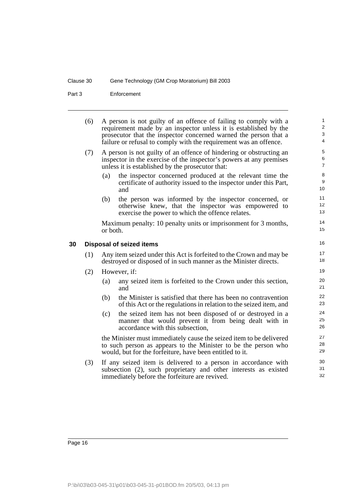## Clause 30 Gene Technology (GM Crop Moratorium) Bill 2003

Part 3 Enforcement

<span id="page-27-0"></span>

|    | (6) | A person is not guilty of an offence of failing to comply with a<br>requirement made by an inspector unless it is established by the<br>prosecutor that the inspector concerned warned the person that a<br>failure or refusal to comply with the requirement was an offence. | $\mathbf{1}$<br>$\overline{2}$<br>3<br>4 |
|----|-----|-------------------------------------------------------------------------------------------------------------------------------------------------------------------------------------------------------------------------------------------------------------------------------|------------------------------------------|
|    | (7) | A person is not guilty of an offence of hindering or obstructing an<br>inspector in the exercise of the inspector's powers at any premises<br>unless it is established by the prosecutor that:                                                                                | 5<br>6<br>7                              |
|    |     | the inspector concerned produced at the relevant time the<br>(a)<br>certificate of authority issued to the inspector under this Part,<br>and                                                                                                                                  | 8<br>9<br>10                             |
|    |     | the person was informed by the inspector concerned, or<br>(b)<br>otherwise knew, that the inspector was empowered to<br>exercise the power to which the offence relates.                                                                                                      | 11<br>12<br>13                           |
|    |     | Maximum penalty: 10 penalty units or imprisonment for 3 months,<br>or both.                                                                                                                                                                                                   | 14<br>15                                 |
| 30 |     | <b>Disposal of seized items</b>                                                                                                                                                                                                                                               | 16                                       |
|    | (1) | Any item seized under this Act is forfeited to the Crown and may be<br>destroyed or disposed of in such manner as the Minister directs.                                                                                                                                       | 17<br>18                                 |
|    | (2) | However, if:                                                                                                                                                                                                                                                                  | 19                                       |
|    |     | (a)<br>any seized item is forfeited to the Crown under this section,<br>and                                                                                                                                                                                                   | 20<br>21                                 |
|    |     | the Minister is satisfied that there has been no contravention<br>(b)<br>of this Act or the regulations in relation to the seized item, and                                                                                                                                   | 22<br>23                                 |
|    |     | the seized item has not been disposed of or destroyed in a<br>(c)<br>manner that would prevent it from being dealt with in<br>accordance with this subsection,                                                                                                                | 24<br>25<br>26                           |
|    |     | the Minister must immediately cause the seized item to be delivered<br>to such person as appears to the Minister to be the person who<br>would, but for the forfeiture, have been entitled to it.                                                                             | 27<br>28<br>29                           |
|    | (3) | If any seized item is delivered to a person in accordance with<br>subsection (2), such proprietary and other interests as existed<br>immediately before the forfeiture are revived.                                                                                           | 30<br>31<br>32                           |
|    |     |                                                                                                                                                                                                                                                                               |                                          |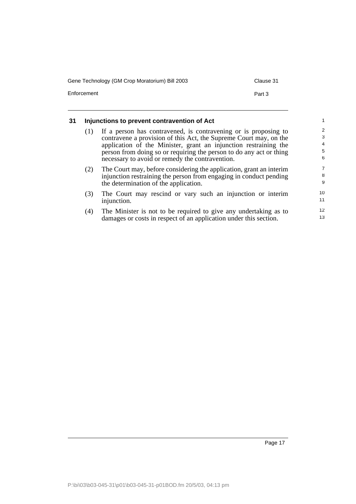Gene Technology (GM Crop Moratorium) Bill 2003 Clause 31 Enforcement Part 3

#### <span id="page-28-0"></span>**31 Injunctions to prevent contravention of Act**

- (1) If a person has contravened, is contravening or is proposing to contravene a provision of this Act, the Supreme Court may, on the application of the Minister, grant an injunction restraining the person from doing so or requiring the person to do any act or thing necessary to avoid or remedy the contravention.
- (2) The Court may, before considering the application, grant an interim injunction restraining the person from engaging in conduct pending the determination of the application.
- (3) The Court may rescind or vary such an injunction or interim injunction.
- (4) The Minister is not to be required to give any undertaking as to damages or costs in respect of an application under this section.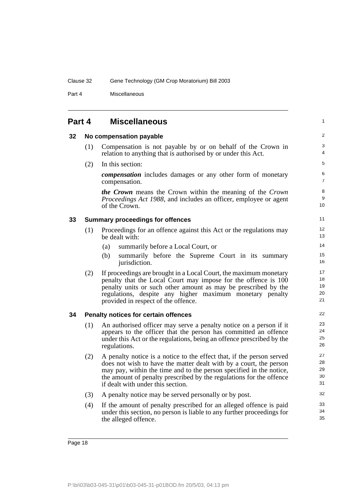Part 4 Miscellaneous

<span id="page-29-0"></span>

| Part 4<br><b>Miscellaneous</b> |
|--------------------------------|
|--------------------------------|

#### <span id="page-29-1"></span>**32 No compensation payable**

- (1) Compensation is not payable by or on behalf of the Crown in relation to anything that is authorised by or under this Act.
- (2) In this section:

*compensation* includes damages or any other form of monetary compensation.

1

*the Crown* means the Crown within the meaning of the *Crown Proceedings Act 1988*, and includes an officer, employee or agent of the Crown.

#### <span id="page-29-2"></span>**33 Summary proceedings for offences**

- (1) Proceedings for an offence against this Act or the regulations may be dealt with:
	- (a) summarily before a Local Court, or
	- (b) summarily before the Supreme Court in its summary jurisdiction.
- (2) If proceedings are brought in a Local Court, the maximum monetary penalty that the Local Court may impose for the offence is 100 penalty units or such other amount as may be prescribed by the regulations, despite any higher maximum monetary penalty provided in respect of the offence.

#### <span id="page-29-3"></span>**34 Penalty notices for certain offences**

- (1) An authorised officer may serve a penalty notice on a person if it appears to the officer that the person has committed an offence under this Act or the regulations, being an offence prescribed by the regulations.
- (2) A penalty notice is a notice to the effect that, if the person served does not wish to have the matter dealt with by a court, the person may pay, within the time and to the person specified in the notice, the amount of penalty prescribed by the regulations for the offence if dealt with under this section.
- (3) A penalty notice may be served personally or by post.
- (4) If the amount of penalty prescribed for an alleged offence is paid under this section, no person is liable to any further proceedings for the alleged offence.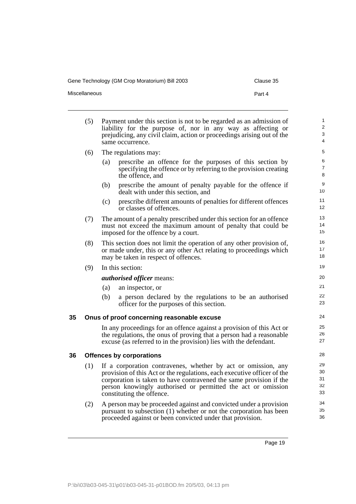Gene Technology (GM Crop Moratorium) Bill 2003 Clause 35

Miscellaneous **Part 4** 

<span id="page-30-1"></span><span id="page-30-0"></span>

|    | (5) |     | Payment under this section is not to be regarded as an admission of<br>liability for the purpose of, nor in any way as affecting or<br>prejudicing, any civil claim, action or proceedings arising out of the<br>same occurrence.                                                                           |
|----|-----|-----|-------------------------------------------------------------------------------------------------------------------------------------------------------------------------------------------------------------------------------------------------------------------------------------------------------------|
|    | (6) |     | The regulations may:                                                                                                                                                                                                                                                                                        |
|    |     | (a) | prescribe an offence for the purposes of this section by<br>specifying the offence or by referring to the provision creating<br>the offence, and                                                                                                                                                            |
|    |     | (b) | prescribe the amount of penalty payable for the offence if<br>dealt with under this section, and                                                                                                                                                                                                            |
|    |     | (c) | prescribe different amounts of penalties for different offences<br>or classes of offences.                                                                                                                                                                                                                  |
|    | (7) |     | The amount of a penalty prescribed under this section for an offence<br>must not exceed the maximum amount of penalty that could be<br>imposed for the offence by a court.                                                                                                                                  |
|    | (8) |     | This section does not limit the operation of any other provision of,<br>or made under, this or any other Act relating to proceedings which<br>may be taken in respect of offences.                                                                                                                          |
|    | (9) |     | In this section:                                                                                                                                                                                                                                                                                            |
|    |     |     | <i>authorised officer means:</i>                                                                                                                                                                                                                                                                            |
|    |     | (a) | an inspector, or                                                                                                                                                                                                                                                                                            |
|    |     | (b) | a person declared by the regulations to be an authorised<br>officer for the purposes of this section.                                                                                                                                                                                                       |
| 35 |     |     | Onus of proof concerning reasonable excuse                                                                                                                                                                                                                                                                  |
|    |     |     | In any proceedings for an offence against a provision of this Act or<br>the regulations, the onus of proving that a person had a reasonable<br>excuse (as referred to in the provision) lies with the defendant.                                                                                            |
| 36 |     |     | <b>Offences by corporations</b>                                                                                                                                                                                                                                                                             |
|    | (1) |     | If a corporation contravenes, whether by act or omission, any<br>provision of this Act or the regulations, each executive officer of the<br>corporation is taken to have contravened the same provision if the<br>person knowingly authorised or permitted the act or omission<br>constituting the offence. |
|    | (2) |     | A person may be proceeded against and convicted under a provision<br>pursuant to subsection $(1)$ whether or not the corporation has been<br>proceeded against or been convicted under that provision.                                                                                                      |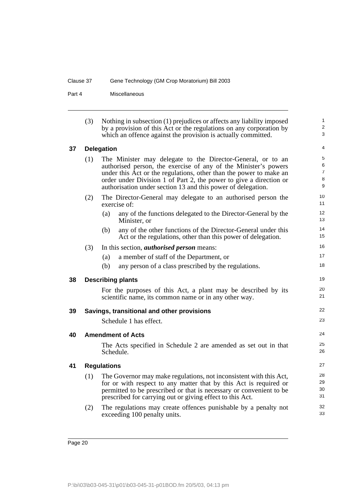#### Clause 37 Gene Technology (GM Crop Moratorium) Bill 2003

Part 4 Miscellaneous

| (3) | Nothing in subsection (1) prejudices or affects any liability imposed |
|-----|-----------------------------------------------------------------------|
|     | by a provision of this Act or the regulations on any corporation by   |
|     | which an offence against the provision is actually committed.         |

1 2 3

#### <span id="page-31-0"></span>**37 Delegation**

<span id="page-31-4"></span><span id="page-31-3"></span><span id="page-31-2"></span><span id="page-31-1"></span>

| 37 |                          | <b>Delegation</b>                                                                                                                                                                                                                                                                                                                          | 4                                      |  |
|----|--------------------------|--------------------------------------------------------------------------------------------------------------------------------------------------------------------------------------------------------------------------------------------------------------------------------------------------------------------------------------------|----------------------------------------|--|
|    | (1)                      | The Minister may delegate to the Director-General, or to an<br>authorised person, the exercise of any of the Minister's powers<br>under this Act or the regulations, other than the power to make an<br>order under Division 1 of Part 2, the power to give a direction or<br>authorisation under section 13 and this power of delegation. | 5<br>$\,6$<br>$\overline{7}$<br>8<br>9 |  |
|    | (2)                      | The Director-General may delegate to an authorised person the<br>exercise of:                                                                                                                                                                                                                                                              | 10<br>11                               |  |
|    |                          | (a)<br>any of the functions delegated to the Director-General by the<br>Minister, or                                                                                                                                                                                                                                                       | 12<br>13                               |  |
|    |                          | any of the other functions of the Director-General under this<br>(b)<br>Act or the regulations, other than this power of delegation.                                                                                                                                                                                                       | 14<br>15                               |  |
|    | (3)                      | In this section, <i>authorised person</i> means:                                                                                                                                                                                                                                                                                           | 16                                     |  |
|    |                          | a member of staff of the Department, or<br>(a)                                                                                                                                                                                                                                                                                             | 17                                     |  |
|    |                          | any person of a class prescribed by the regulations.<br>(b)                                                                                                                                                                                                                                                                                | 18                                     |  |
| 38 | <b>Describing plants</b> |                                                                                                                                                                                                                                                                                                                                            |                                        |  |
|    |                          | For the purposes of this Act, a plant may be described by its<br>scientific name, its common name or in any other way.                                                                                                                                                                                                                     | 20<br>21                               |  |
| 39 |                          | Savings, transitional and other provisions                                                                                                                                                                                                                                                                                                 | 22                                     |  |
|    |                          | Schedule 1 has effect.                                                                                                                                                                                                                                                                                                                     | 23                                     |  |
| 40 | <b>Amendment of Acts</b> |                                                                                                                                                                                                                                                                                                                                            |                                        |  |
|    |                          | The Acts specified in Schedule 2 are amended as set out in that<br>Schedule.                                                                                                                                                                                                                                                               |                                        |  |
| 41 | <b>Regulations</b>       |                                                                                                                                                                                                                                                                                                                                            |                                        |  |
|    | (1)                      | The Governor may make regulations, not inconsistent with this Act,<br>for or with respect to any matter that by this Act is required or<br>permitted to be prescribed or that is necessary or convenient to be<br>prescribed for carrying out or giving effect to this Act.                                                                | 28<br>29<br>30<br>31                   |  |
|    | (2)                      | The regulations may create offences punishable by a penalty not<br>exceeding 100 penalty units.                                                                                                                                                                                                                                            | 32<br>33                               |  |
|    |                          |                                                                                                                                                                                                                                                                                                                                            |                                        |  |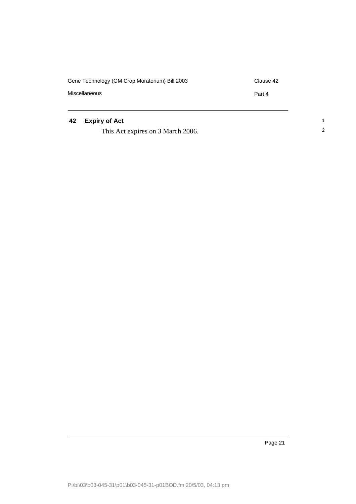<span id="page-32-0"></span>

| 42<br><b>Expiry of Act</b>                     |           |  |
|------------------------------------------------|-----------|--|
| <b>Miscellaneous</b>                           | Part 4    |  |
| Gene Technology (GM Crop Moratorium) Bill 2003 | Clause 42 |  |

This Act expires on 3 March 2006.

1 2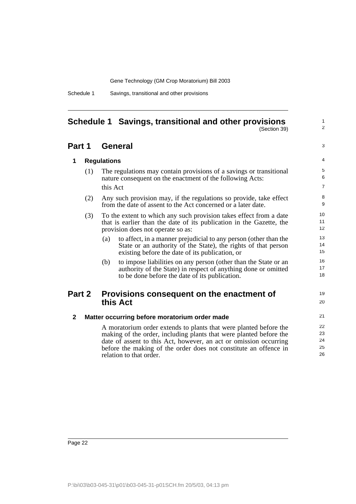Schedule 1 Savings, transitional and other provisions

## <span id="page-33-0"></span>**Schedule 1 Savings, transitional and other provisions**

(Section 39)

1 2

| Part 1        |     |                    | <b>General</b>                                                                                                                                                                                                                                                                                              | 3                                        |
|---------------|-----|--------------------|-------------------------------------------------------------------------------------------------------------------------------------------------------------------------------------------------------------------------------------------------------------------------------------------------------------|------------------------------------------|
| 1             |     | <b>Regulations</b> |                                                                                                                                                                                                                                                                                                             | $\overline{4}$                           |
|               | (1) |                    | The regulations may contain provisions of a savings or transitional<br>nature consequent on the enactment of the following Acts:                                                                                                                                                                            | 5<br>6                                   |
|               |     | this Act           |                                                                                                                                                                                                                                                                                                             | $\overline{7}$                           |
|               | (2) |                    | Any such provision may, if the regulations so provide, take effect<br>from the date of assent to the Act concerned or a later date.                                                                                                                                                                         | 8<br>9                                   |
|               | (3) |                    | To the extent to which any such provision takes effect from a date<br>that is earlier than the date of its publication in the Gazette, the<br>provision does not operate so as:                                                                                                                             | 10 <sup>1</sup><br>11<br>12 <sup>2</sup> |
|               |     | (a)                | to affect, in a manner prejudicial to any person (other than the<br>State or an authority of the State), the rights of that person<br>existing before the date of its publication, or                                                                                                                       | 13<br>14<br>15                           |
|               |     | (b)                | to impose liabilities on any person (other than the State or an<br>authority of the State) in respect of anything done or omitted<br>to be done before the date of its publication.                                                                                                                         | 16<br>17<br>18                           |
| <b>Part 2</b> |     |                    | Provisions consequent on the enactment of<br>this Act                                                                                                                                                                                                                                                       | 19<br>20                                 |
| $\mathbf{2}$  |     |                    | Matter occurring before moratorium order made                                                                                                                                                                                                                                                               | 21                                       |
|               |     |                    | A moratorium order extends to plants that were planted before the<br>making of the order, including plants that were planted before the<br>date of assent to this Act, however, an act or omission occurring<br>before the making of the order does not constitute an offence in<br>relation to that order. | 22<br>23<br>24<br>25<br>26               |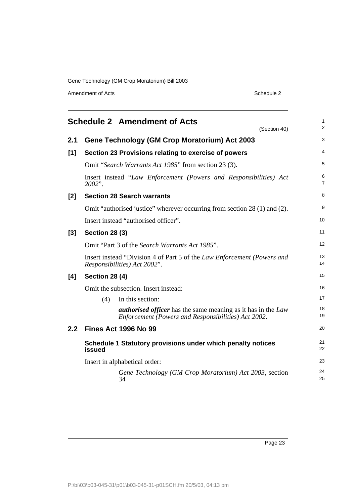Amendment of Acts Schedule 2

 $\bar{\nu}$ 

l,

<span id="page-34-0"></span>

|                  | <b>Schedule 2 Amendment of Acts</b><br>(Section 40)                                                                        | 1<br>$\overline{2}$ |
|------------------|----------------------------------------------------------------------------------------------------------------------------|---------------------|
| 2.1              | <b>Gene Technology (GM Crop Moratorium) Act 2003</b>                                                                       | 3                   |
| $[1]$            | Section 23 Provisions relating to exercise of powers                                                                       | 4                   |
|                  | Omit "Search Warrants Act 1985" from section 23 (3).                                                                       | 5                   |
|                  | Insert instead "Law Enforcement (Powers and Responsibilities) Act<br>2002".                                                | 6<br>$\overline{7}$ |
| $[2]$            | <b>Section 28 Search warrants</b>                                                                                          | 8                   |
|                  | Omit "authorised justice" wherever occurring from section 28 (1) and (2).                                                  | 9                   |
|                  | Insert instead "authorised officer".                                                                                       | 10                  |
| $[3]$            | <b>Section 28 (3)</b>                                                                                                      | 11                  |
|                  | Omit "Part 3 of the Search Warrants Act 1985".                                                                             | 12                  |
|                  | Insert instead "Division 4 of Part 5 of the Law Enforcement (Powers and<br>Responsibilities) Act 2002".                    | 13<br>14            |
| $[4]$            | <b>Section 28 (4)</b>                                                                                                      | 15                  |
|                  | Omit the subsection. Insert instead:                                                                                       | 16                  |
|                  | In this section:<br>(4)                                                                                                    | 17                  |
|                  | <i>authorised officer</i> has the same meaning as it has in the Law<br>Enforcement (Powers and Responsibilities) Act 2002. | 18<br>19            |
| $2.2\phantom{0}$ | <b>Fines Act 1996 No 99</b>                                                                                                | 20                  |
|                  | Schedule 1 Statutory provisions under which penalty notices<br>issued                                                      | 21<br>22            |
|                  | Insert in alphabetical order:                                                                                              | 23                  |
|                  | Gene Technology (GM Crop Moratorium) Act 2003, section<br>34                                                               | 24<br>25            |